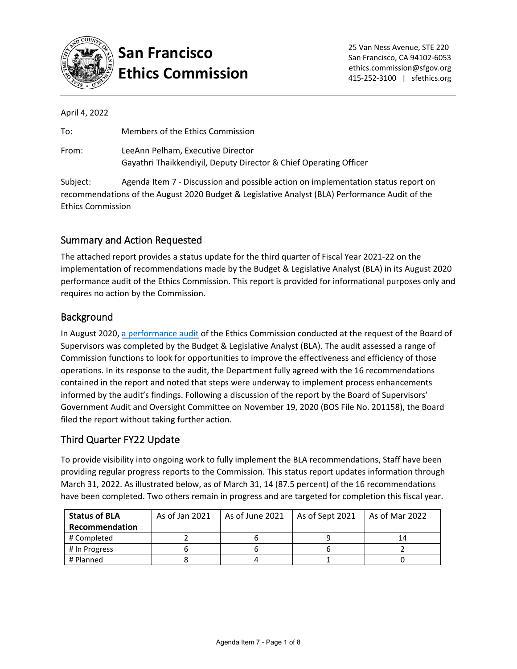

# **San Francisco Ethics Commission**

|  | April 4, 2022 |
|--|---------------|
|  |               |

| To:   | Members of the Ethics Commission                                                                       |
|-------|--------------------------------------------------------------------------------------------------------|
| From: | LeeAnn Pelham, Executive Director<br>Gayathri Thaikkendiyil, Deputy Director & Chief Operating Officer |

Subject: Agenda Item 7 - Discussion and possible action on implementation status report on recommendations of the August 2020 Budget & Legislative Analyst (BLA) Performance Audit of the Ethics Commission

### Summary and Action Requested

The attached report provides a status update for the third quarter of Fiscal Year 2021-22 on the implementation of recommendations made by the Budget & Legislative Analyst (BLA) in its August 2020 performance audit of the Ethics Commission. This report is provided for informational purposes only and requires no action by the Commission.

#### Background

In August 2020, [a performance audit](https://sfethics.org/wp-content/uploads/2020/08/2020.08.14-Agenda-Item-6-BLA-Audit-Report-and-Cover-memo-Final-for-Aug-14-posting-1.pdf) of the Ethics Commission conducted at the request of the Board of Supervisors was completed by the Budget & Legislative Analyst (BLA). The audit assessed a range of Commission functions to look for opportunities to improve the effectiveness and efficiency of those operations. In its response to the audit, the Department fully agreed with the 16 recommendations contained in the report and noted that steps were underway to implement process enhancements informed by the audit's findings. Following a discussion of the report by the Board of Supervisors' Government Audit and Oversight Committee on November 19, 2020 (BOS File No. 201158), the Board filed the report without taking further action.

#### Third Quarter FY22 Update

To provide visibility into ongoing work to fully implement the BLA recommendations, Staff have been providing regular progress reports to the Commission. This status report updates information through March 31, 2022. As illustrated below, as of March 31, 14 (87.5 percent) of the 16 recommendations have been completed. Two others remain in progress and are targeted for completion this fiscal year.

| <b>Status of BLA</b> | As of Jan 2021 | As of June 2021 | As of Sept 2021 | As of Mar 2022 |
|----------------------|----------------|-----------------|-----------------|----------------|
| Recommendation       |                |                 |                 |                |
| # Completed          |                |                 |                 | 14             |
| # In Progress        |                |                 |                 |                |
| # Planned            |                |                 |                 |                |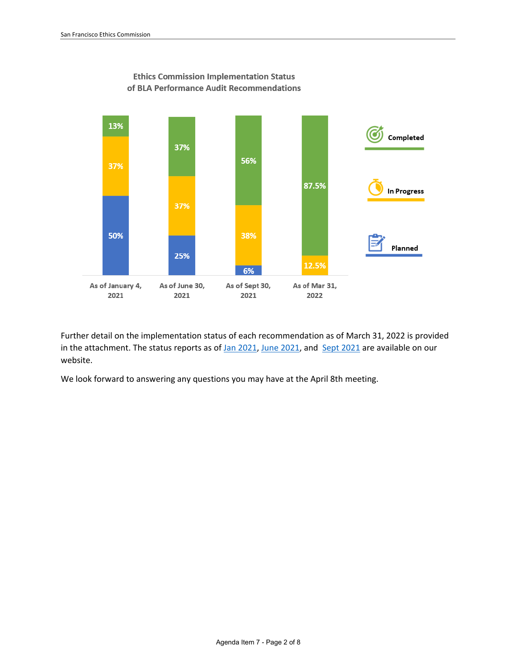

**Ethics Commission Implementation Status** of BLA Performance Audit Recommendations

Further detail on the implementation status of each recommendation as of March 31, 2022 is provided in the attachment. The status reports as of [Jan 2021,](https://sfethics.org/wp-content/uploads/2021/01/2021.01.08-Agenda-Item-5-Attach-1-Impl-Status-of-BLA-Recs-Jan-4-2021.pdf) [June 2021,](https://sfethics.org/wp-content/uploads/2021/07/2021.07.09-Agenda-Item-9-Cover-Memo-and-Status-Report-on-BLA-Recommendations-FINAL.pdf) and [Sept 2021](https://sfethics.org/wp-content/uploads/2021/11/2021.11.12-Agenda-Item-7-BLA-Status-Report.pdf) are available on our website.

We look forward to answering any questions you may have at the April 8th meeting.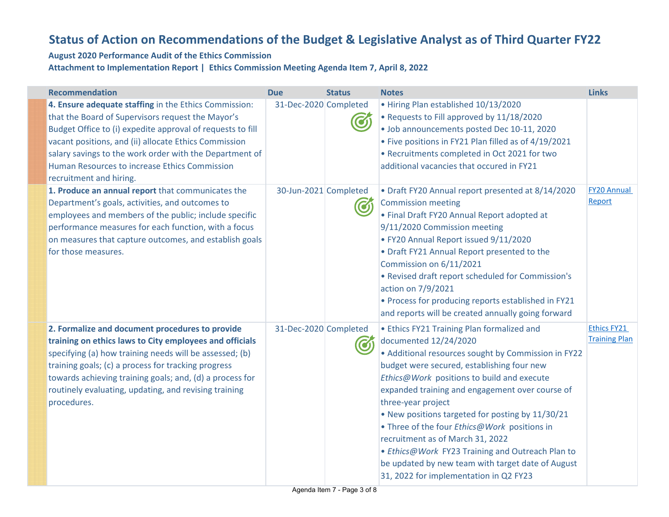## **Status of Action on Recommendations of the Budget & Legislative Analyst as of Third Quarter FY22**

#### **August 2020 Performance Audit of the Ethics Commission Attachment to Implementation Report | Ethics Commission Meeting Agenda Item 7, April 8, 2022**

| <b>Recommendation</b>                                                                                                                                                                                                                                                                                                                                                    | <b>Due</b>            | <b>Status</b> | <b>Notes</b>                                                                                                                                                                                                                                                                                                                                                                                                                                                                                                                                                                               | <b>Links</b>                               |
|--------------------------------------------------------------------------------------------------------------------------------------------------------------------------------------------------------------------------------------------------------------------------------------------------------------------------------------------------------------------------|-----------------------|---------------|--------------------------------------------------------------------------------------------------------------------------------------------------------------------------------------------------------------------------------------------------------------------------------------------------------------------------------------------------------------------------------------------------------------------------------------------------------------------------------------------------------------------------------------------------------------------------------------------|--------------------------------------------|
| 4. Ensure adequate staffing in the Ethics Commission:<br>that the Board of Supervisors request the Mayor's<br>Budget Office to (i) expedite approval of requests to fill<br>vacant positions, and (ii) allocate Ethics Commission<br>salary savings to the work order with the Department of<br>Human Resources to increase Ethics Commission<br>recruitment and hiring. | 31-Dec-2020 Completed |               | • Hiring Plan established 10/13/2020<br>• Requests to Fill approved by 11/18/2020<br>· Job announcements posted Dec 10-11, 2020<br>• Five positions in FY21 Plan filled as of 4/19/2021<br>• Recruitments completed in Oct 2021 for two<br>additional vacancies that occured in FY21                                                                                                                                                                                                                                                                                                       |                                            |
| 1. Produce an annual report that communicates the<br>Department's goals, activities, and outcomes to<br>employees and members of the public; include specific<br>performance measures for each function, with a focus<br>on measures that capture outcomes, and establish goals<br>for those measures.                                                                   | 30-Jun-2021 Completed | රා            | • Draft FY20 Annual report presented at 8/14/2020<br><b>Commission meeting</b><br>• Final Draft FY20 Annual Report adopted at<br>9/11/2020 Commission meeting<br>• FY20 Annual Report issued 9/11/2020<br>• Draft FY21 Annual Report presented to the<br>Commission on 6/11/2021<br>• Revised draft report scheduled for Commission's<br>action on 7/9/2021<br>• Process for producing reports established in FY21<br>and reports will be created annually going forward                                                                                                                   | <b>FY20 Annual</b><br>Report               |
| 2. Formalize and document procedures to provide<br>training on ethics laws to City employees and officials<br>specifying (a) how training needs will be assessed; (b)<br>training goals; (c) a process for tracking progress<br>towards achieving training goals; and, (d) a process for<br>routinely evaluating, updating, and revising training<br>procedures.         | 31-Dec-2020 Completed |               | • Ethics FY21 Training Plan formalized and<br>documented 12/24/2020<br>• Additional resources sought by Commission in FY22<br>budget were secured, establishing four new<br>Ethics@Work positions to build and execute<br>expanded training and engagement over course of<br>three-year project<br>. New positions targeted for posting by 11/30/21<br>• Three of the four Ethics@Work positions in<br>recruitment as of March 31, 2022<br>• Ethics@Work FY23 Training and Outreach Plan to<br>be updated by new team with target date of August<br>31, 2022 for implementation in Q2 FY23 | <b>Ethics FY21</b><br><b>Training Plan</b> |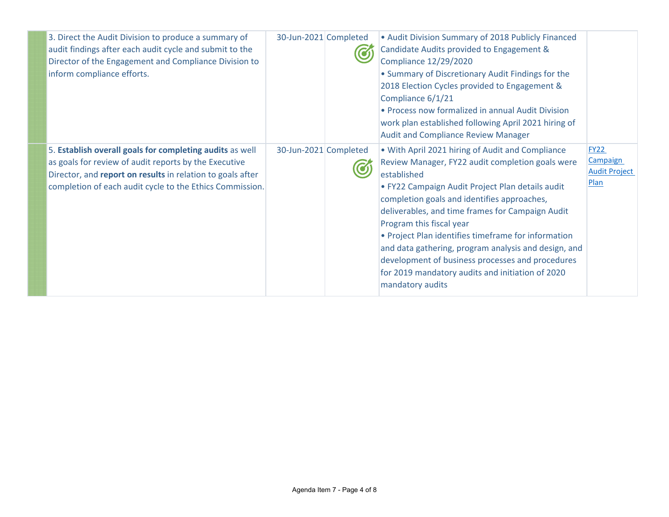| 3. Direct the Audit Division to produce a summary of<br>audit findings after each audit cycle and submit to the<br>Director of the Engagement and Compliance Division to<br>inform compliance efforts.                                      | 30-Jun-2021 Completed | • Audit Division Summary of 2018 Publicly Financed<br>Candidate Audits provided to Engagement &<br><b>Compliance 12/29/2020</b><br>• Summary of Discretionary Audit Findings for the<br>2018 Election Cycles provided to Engagement &<br>Compliance 6/1/21<br>• Process now formalized in annual Audit Division<br>work plan established following April 2021 hiring of<br><b>Audit and Compliance Review Manager</b>                                                                                                                             |                                                         |
|---------------------------------------------------------------------------------------------------------------------------------------------------------------------------------------------------------------------------------------------|-----------------------|---------------------------------------------------------------------------------------------------------------------------------------------------------------------------------------------------------------------------------------------------------------------------------------------------------------------------------------------------------------------------------------------------------------------------------------------------------------------------------------------------------------------------------------------------|---------------------------------------------------------|
| 5. Establish overall goals for completing audits as well<br>as goals for review of audit reports by the Executive<br>Director, and report on results in relation to goals after<br>completion of each audit cycle to the Ethics Commission. | 30-Jun-2021 Completed | . With April 2021 hiring of Audit and Compliance<br>Review Manager, FY22 audit completion goals were<br>established<br>· FY22 Campaign Audit Project Plan details audit<br>completion goals and identifies approaches,<br>deliverables, and time frames for Campaign Audit<br>Program this fiscal year<br>• Project Plan identifies timeframe for information<br>and data gathering, program analysis and design, and<br>development of business processes and procedures<br>for 2019 mandatory audits and initiation of 2020<br>mandatory audits | <b>FY22</b><br>Campaign<br><b>Audit Project</b><br>Plan |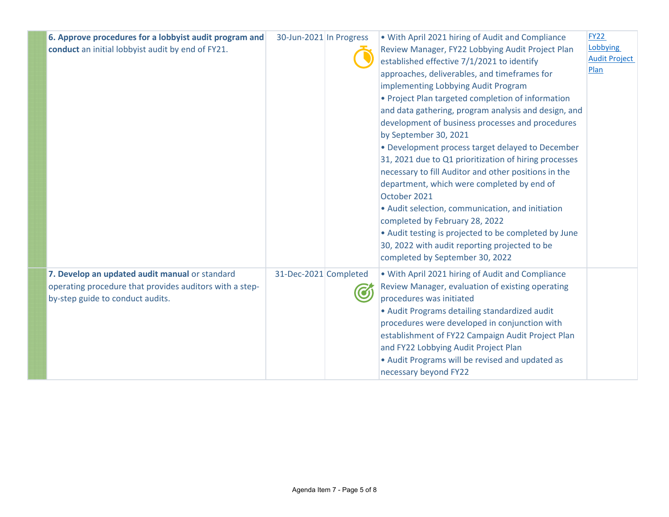| 6. Approve procedures for a lobbyist audit program and<br>conduct an initial lobbyist audit by end of FY21.                                   | 30-Jun-2021 In Progress | • With April 2021 hiring of Audit and Compliance<br><b>FY22</b><br>Review Manager, FY22 Lobbying Audit Project Plan<br>established effective 7/1/2021 to identify<br>Plan<br>approaches, deliverables, and timeframes for<br>implementing Lobbying Audit Program<br>• Project Plan targeted completion of information<br>and data gathering, program analysis and design, and<br>development of business processes and procedures<br>by September 30, 2021<br>• Development process target delayed to December<br>31, 2021 due to Q1 prioritization of hiring processes<br>necessary to fill Auditor and other positions in the<br>department, which were completed by end of<br>October 2021<br>• Audit selection, communication, and initiation<br>completed by February 28, 2022<br>• Audit testing is projected to be completed by June<br>30, 2022 with audit reporting projected to be<br>completed by September 30, 2022 | Lobbying<br><b>Audit Project</b> |
|-----------------------------------------------------------------------------------------------------------------------------------------------|-------------------------|---------------------------------------------------------------------------------------------------------------------------------------------------------------------------------------------------------------------------------------------------------------------------------------------------------------------------------------------------------------------------------------------------------------------------------------------------------------------------------------------------------------------------------------------------------------------------------------------------------------------------------------------------------------------------------------------------------------------------------------------------------------------------------------------------------------------------------------------------------------------------------------------------------------------------------|----------------------------------|
| 7. Develop an updated audit manual or standard<br>operating procedure that provides auditors with a step-<br>by-step guide to conduct audits. | 31-Dec-2021 Completed   | . With April 2021 hiring of Audit and Compliance<br>Review Manager, evaluation of existing operating<br>procedures was initiated<br>• Audit Programs detailing standardized audit<br>procedures were developed in conjunction with<br>establishment of FY22 Campaign Audit Project Plan<br>and FY22 Lobbying Audit Project Plan<br>• Audit Programs will be revised and updated as<br>necessary beyond FY22                                                                                                                                                                                                                                                                                                                                                                                                                                                                                                                     |                                  |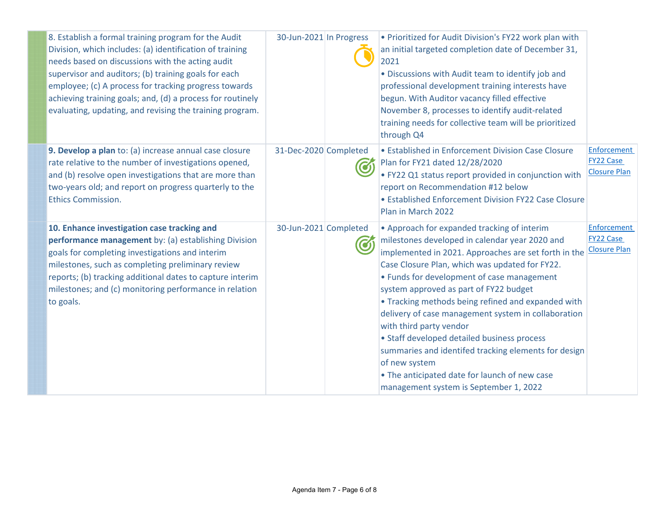| 8. Establish a formal training program for the Audit<br>Division, which includes: (a) identification of training<br>needs based on discussions with the acting audit<br>supervisor and auditors; (b) training goals for each<br>employee; (c) A process for tracking progress towards<br>achieving training goals; and, (d) a process for routinely<br>evaluating, updating, and revising the training program. | 30-Jun-2021 In Progress | • Prioritized for Audit Division's FY22 work plan with<br>an initial targeted completion date of December 31,<br>2021<br>. Discussions with Audit team to identify job and<br>professional development training interests have<br>begun. With Auditor vacancy filled effective<br>November 8, processes to identify audit-related<br>training needs for collective team will be prioritized<br>through Q4                                                                                                                                                                                                                                                  |                                                        |
|-----------------------------------------------------------------------------------------------------------------------------------------------------------------------------------------------------------------------------------------------------------------------------------------------------------------------------------------------------------------------------------------------------------------|-------------------------|------------------------------------------------------------------------------------------------------------------------------------------------------------------------------------------------------------------------------------------------------------------------------------------------------------------------------------------------------------------------------------------------------------------------------------------------------------------------------------------------------------------------------------------------------------------------------------------------------------------------------------------------------------|--------------------------------------------------------|
| 9. Develop a plan to: (a) increase annual case closure<br>rate relative to the number of investigations opened,<br>and (b) resolve open investigations that are more than<br>two-years old; and report on progress quarterly to the<br><b>Ethics Commission.</b>                                                                                                                                                | 31-Dec-2020 Completed   | • Established in Enforcement Division Case Closure<br>Plan for FY21 dated 12/28/2020<br>• FY22 Q1 status report provided in conjunction with<br>report on Recommendation #12 below<br>• Established Enforcement Division FY22 Case Closure<br>Plan in March 2022                                                                                                                                                                                                                                                                                                                                                                                           | Enforcement<br><b>FY22 Case</b><br><b>Closure Plan</b> |
| 10. Enhance investigation case tracking and<br>performance management by: (a) establishing Division<br>goals for completing investigations and interim<br>milestones, such as completing preliminary review<br>reports; (b) tracking additional dates to capture interim<br>milestones; and (c) monitoring performance in relation<br>to goals.                                                                 | 30-Jun-2021 Completed   | • Approach for expanded tracking of interim<br>milestones developed in calendar year 2020 and<br>implemented in 2021. Approaches are set forth in the<br>Case Closure Plan, which was updated for FY22.<br>• Funds for development of case management<br>system approved as part of FY22 budget<br>• Tracking methods being refined and expanded with<br>delivery of case management system in collaboration<br>with third party vendor<br>• Staff developed detailed business process<br>summaries and identifed tracking elements for design<br>of new system<br>• The anticipated date for launch of new case<br>management system is September 1, 2022 | Enforcement<br><b>FY22 Case</b><br><b>Closure Plan</b> |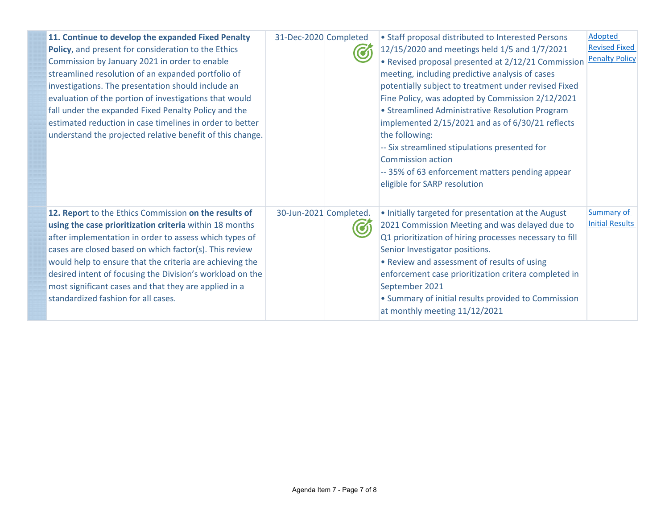| 11. Continue to develop the expanded Fixed Penalty<br>Policy, and present for consideration to the Ethics<br>Commission by January 2021 in order to enable<br>streamlined resolution of an expanded portfolio of<br>investigations. The presentation should include an<br>evaluation of the portion of investigations that would<br>fall under the expanded Fixed Penalty Policy and the<br>estimated reduction in case timelines in order to better<br>understand the projected relative benefit of this change. | 31-Dec-2020 Completed  | • Staff proposal distributed to Interested Persons<br>12/15/2020 and meetings held 1/5 and 1/7/2021<br>• Revised proposal presented at 2/12/21 Commission<br>meeting, including predictive analysis of cases<br>potentially subject to treatment under revised Fixed<br>Fine Policy, was adopted by Commission 2/12/2021<br>• Streamlined Administrative Resolution Program<br>implemented 2/15/2021 and as of 6/30/21 reflects<br>the following:<br>-- Six streamlined stipulations presented for<br><b>Commission action</b><br>-- 35% of 63 enforcement matters pending appear<br>eligible for SARP resolution | Adopted<br><b>Revised Fixed</b><br><b>Penalty Policy</b> |
|-------------------------------------------------------------------------------------------------------------------------------------------------------------------------------------------------------------------------------------------------------------------------------------------------------------------------------------------------------------------------------------------------------------------------------------------------------------------------------------------------------------------|------------------------|-------------------------------------------------------------------------------------------------------------------------------------------------------------------------------------------------------------------------------------------------------------------------------------------------------------------------------------------------------------------------------------------------------------------------------------------------------------------------------------------------------------------------------------------------------------------------------------------------------------------|----------------------------------------------------------|
| 12. Report to the Ethics Commission on the results of<br>using the case prioritization criteria within 18 months<br>after implementation in order to assess which types of<br>cases are closed based on which factor(s). This review<br>would help to ensure that the criteria are achieving the<br>desired intent of focusing the Division's workload on the<br>most significant cases and that they are applied in a<br>standardized fashion for all cases.                                                     | 30-Jun-2021 Completed. | . Initially targeted for presentation at the August<br>2021 Commission Meeting and was delayed due to<br>Q1 prioritization of hiring processes necessary to fill<br>Senior Investigator positions.<br>• Review and assessment of results of using<br>enforcement case prioritization critera completed in<br>September 2021<br>• Summary of initial results provided to Commission<br>at monthly meeting 11/12/2021                                                                                                                                                                                               | <b>Summary of</b><br><b>Initial Results</b>              |